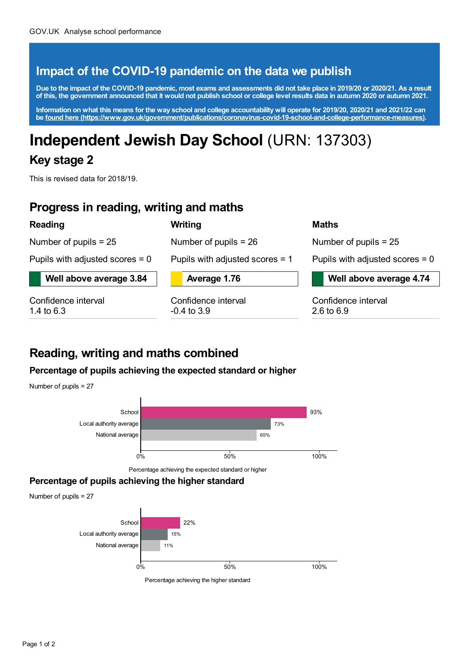### **Impact of the COVID-19 pandemic on the data we publish**

Due to the impact of the COVID-19 pandemic, most exams and assessments did not take place in 2019/20 or 2020/21. As a result of this, the government announced that it would not publish school or college level results data in autumn 2020 or autumn 2021.

Information on what this means for the way school and college accountability will operate for 2019/20, 2020/21 and 2021/22 can **be found here [\(https://www.gov.uk/government/publications/coronavirus-covid-19-school-and-college-performance-measures\)](https://www.gov.uk/government/publications/coronavirus-covid-19-school-and-college-performance-measures).**

# **Independent Jewish Day School** (URN: 137303)

### **Key stage 2**

This is revised data for 2018/19.

### **Progress in reading, writing and maths**

#### **Reading**

Number of pupils = 25

Pupils with adjusted scores = 0

**Well above average 3.84**

Confidence interval 1.4 to 6.3



**Writing**

**Average 1.76**

Number of pupils = 26

Confidence interval -0.4 to 3.9

#### **Maths**

Number of pupils = 25

Pupils with adjusted scores = 0

**Well above average 4.74**

Confidence interval 2.6 to 6.9

### **Reading, writing and maths combined**

#### **Percentage of pupils achieving the expected standard or higher**

Number of pupils = 27



Percentage achieving the expected standard or higher

### **Percentage of pupils achieving the higher standard**

Number of pupils = 27



Percentage achieving the higher standard